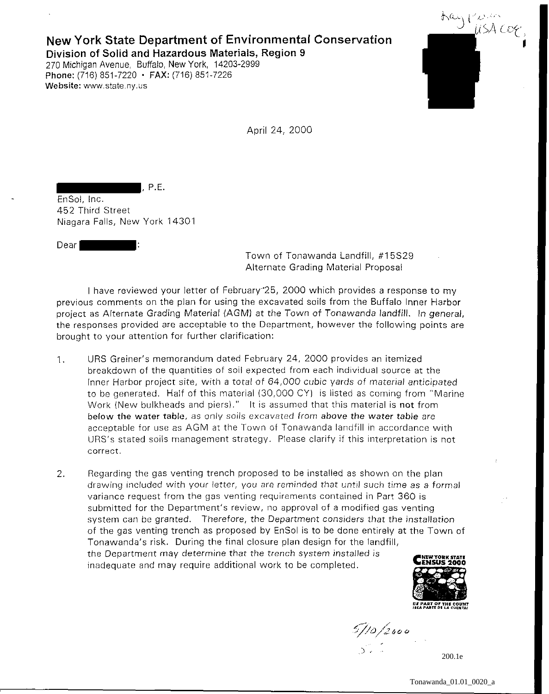## **New York State Department of Environmental Conservation Division of Solid and Hazardous Materials, Region 9**  270 Michigan Avenue, Buffalo, New York, 14203-2999

Phone: (716) 851-7220 • FAX: (716) 851-7226 Website: www.state.ny.us

, P.E.



April 24, 2000

EnSol, Inc. 452 Third Street Niagara Falls, New York 14301

Dear I

Town of Tonawanda Landfill, #15S29 Alternate Grading Material Proposal

I have reviewed your letter of February'25, 2000 which provides a response to my previous comments on the plan for using the excavated soils from the Buffalo Inner Harbor project as Alternate Grading Material (AGM) at the Town of Tonawanda landfill. In general, the responses provided are acceptable to the Department, however the following points are brought to your attention for further clarification:

- 1. URS Greiner's memorandum dated February 24, 2000 provides an itemized breakdown of the quantities of soil expected from each individual source at the Inner Harbor project site, with a total of 64,000 cubic yards of material anticipated to be generated. Half of this material (30,000 CY) is listed as coming from "Marine Work (New bulkheads and piers)." It is assumed that this material is not from below the water table, as only soils excavated from above the water table are acceptable for use as AGM at the Town of Tonawanda landfill in accordance with URS's stated soils management strategy. Please clarify if this interpretation is not **correct.**
- 2. Regarding the gas venting trench proposed to be installed as shown on the plan drawing included with your letter, you are reminded that until such time as a formal variance request from the gas venting requirements contained in Part 360 is submitted for the Department's review, no approval of a modified gas venting system can be granted. Therefore, the Department considers that the installation of the gas venting trench as proposed by EnSol is to be done entirely at the Town of Tonawanda's risk. During the final closure plan design for the landfill, the Department may determine that the trench system installed is inadequate and may require additional work to be completed.



 $\frac{5}{10}/2000$ 

200.1e